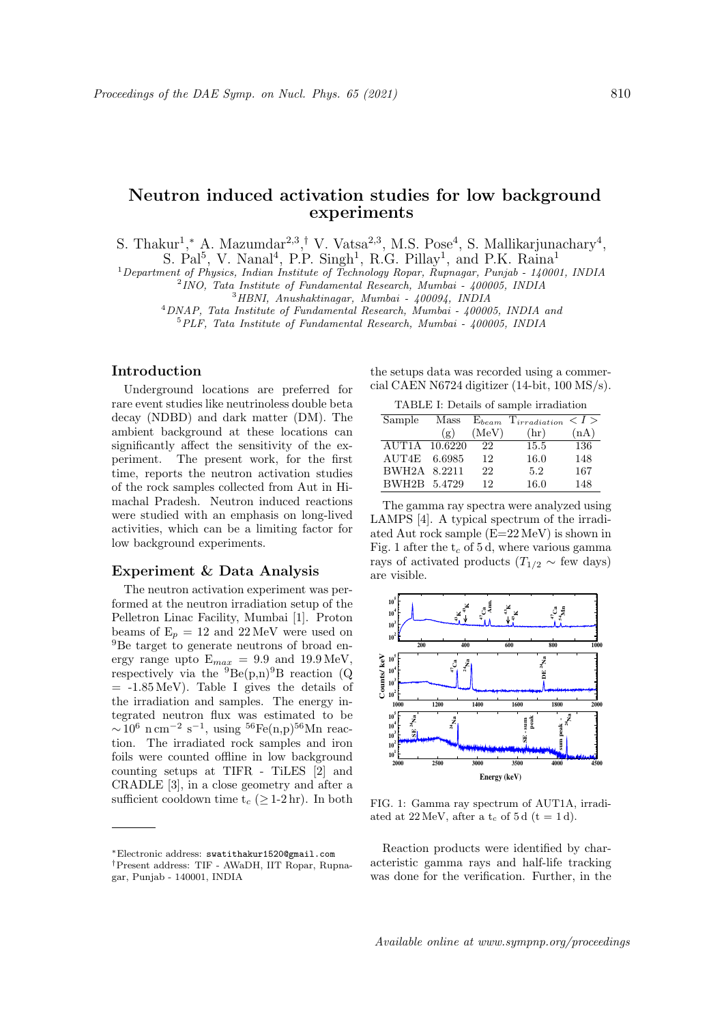# Neutron induced activation studies for low background experiments

S. Thakur<sup>1</sup>,\* A. Mazumdar<sup>2,3</sup>,<sup>†</sup> V. Vatsa<sup>2,3</sup>, M.S. Pose<sup>4</sup>, S. Mallikarjunachary<sup>4</sup>,

S. Pal<sup>5</sup>, V. Nanal<sup>4</sup>, P.P. Singh<sup>1</sup>, R.G. Pillay<sup>1</sup>, and P.K. Raina<sup>1</sup>

<sup>1</sup> Department of Physics, Indian Institute of Technology Ropar, Rupnagar, Punjab - 140001, INDIA

2 INO, Tata Institute of Fundamental Research, Mumbai - 400005, INDIA

<sup>3</sup>HBNI, Anushaktinagar, Mumbai - 400094, INDIA

<sup>4</sup>DNAP, Tata Institute of Fundamental Research, Mumbai - 400005, INDIA and <sup>5</sup>PLF, Tata Institute of Fundamental Research, Mumbai - 400005, INDIA

## Introduction

Underground locations are preferred for rare event studies like neutrinoless double beta decay (NDBD) and dark matter (DM). The ambient background at these locations can significantly affect the sensitivity of the experiment. The present work, for the first time, reports the neutron activation studies of the rock samples collected from Aut in Himachal Pradesh. Neutron induced reactions were studied with an emphasis on long-lived activities, which can be a limiting factor for low background experiments.

## Experiment & Data Analysis

The neutron activation experiment was performed at the neutron irradiation setup of the Pelletron Linac Facility, Mumbai [1]. Proton beams of  $E_p = 12$  and  $22 \text{ MeV}$  were used on <sup>9</sup>Be target to generate neutrons of broad energy range upto  $E_{max} = 9.9$  and  $19.9 \,\text{MeV}$ , respectively via the  ${}^{9}Be(p,n){}^{9}B$  reaction (Q  $= -1.85 \,\text{MeV}$ . Table I gives the details of the irradiation and samples. The energy integrated neutron flux was estimated to be  $\sim$  10<sup>6</sup> n cm<sup>-2</sup> s<sup>-1</sup>, using <sup>56</sup>Fe(n,p)<sup>56</sup>Mn reaction. The irradiated rock samples and iron foils were counted offline in low background counting setups at TIFR - TiLES [2] and CRADLE [3], in a close geometry and after a sufficient cooldown time  $t_c$  ( $\geq$  1-2 hr). In both the setups data was recorded using a commercial CAEN N6724 digitizer (14-bit, 100 MS/s).

| Sample        | Mass   | ${\rm E}_{beam}$ | $T_{irradiation}$ | $-I >$ |
|---------------|--------|------------------|-------------------|--------|
|               | (g)    | (MeV)            | (hr)              | (nA)   |
| AUT1A 10.6220 |        | 22               | 15.5              | 136    |
| AUT4E         | 6.6985 | 12               | 16.0              | 148    |
| BWH2A 8.2211  |        | 22               | 5.2               | 167    |
| BWH2B 5.4729  |        | 12               | 16.0              | 148    |

The gamma ray spectra were analyzed using LAMPS [4]. A typical spectrum of the irradiated Aut rock sample (E=22 MeV) is shown in Fig. 1 after the  $t_c$  of 5 d, where various gamma rays of activated products ( $T_{1/2} \sim$  few days) are visible.



FIG. 1: Gamma ray spectrum of AUT1A, irradiated at 22 MeV, after a  $t_c$  of 5 d (t = 1 d).

Reaction products were identified by characteristic gamma rays and half-life tracking was done for the verification. Further, in the

Available online at www.sympnp.org/proceedings

<sup>∗</sup>Electronic address: swatithakur1520@gmail.com †Present address: TIF - AWaDH, IIT Ropar, Rupnagar, Punjab - 140001, INDIA